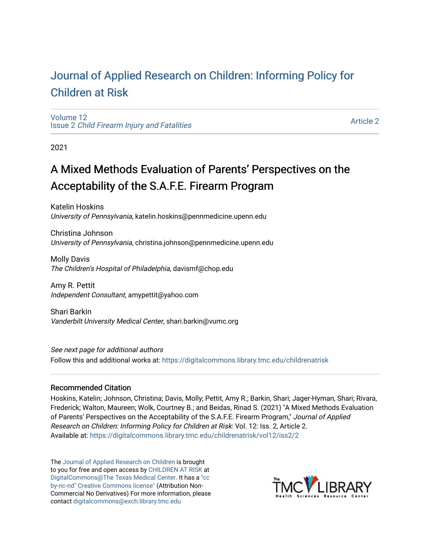# [Journal of Applied Research on Children: Informing Policy for](https://digitalcommons.library.tmc.edu/childrenatrisk) [Children at Risk](https://digitalcommons.library.tmc.edu/childrenatrisk)

[Volume 12](https://digitalcommons.library.tmc.edu/childrenatrisk/vol12) Issue 2 [Child Firearm Injury and Fatalities](https://digitalcommons.library.tmc.edu/childrenatrisk/vol12/iss2) 

[Article 2](https://digitalcommons.library.tmc.edu/childrenatrisk/vol12/iss2/2) 

2021

# A Mixed Methods Evaluation of Parents' Perspectives on the Acceptability of the S.A.F.E. Firearm Program

Katelin Hoskins University of Pennsylvania, katelin.hoskins@pennmedicine.upenn.edu

Christina Johnson University of Pennsylvania, christina.johnson@pennmedicine.upenn.edu

Molly Davis The Children's Hospital of Philadelphia, davismf@chop.edu

Amy R. Pettit Independent Consultant, amypettit@yahoo.com

Shari Barkin Vanderbilt University Medical Center, shari.barkin@vumc.org

See next page for additional authors

Follow this and additional works at: [https://digitalcommons.library.tmc.edu/childrenatrisk](https://digitalcommons.library.tmc.edu/childrenatrisk?utm_source=digitalcommons.library.tmc.edu%2Fchildrenatrisk%2Fvol12%2Fiss2%2F2&utm_medium=PDF&utm_campaign=PDFCoverPages) 

#### Recommended Citation

Hoskins, Katelin; Johnson, Christina; Davis, Molly; Pettit, Amy R.; Barkin, Shari; Jager-Hyman, Shari; Rivara, Frederick; Walton, Maureen; Wolk, Courtney B.; and Beidas, Rinad S. (2021) "A Mixed Methods Evaluation of Parents' Perspectives on the Acceptability of the S.A.F.E. Firearm Program," Journal of Applied Research on Children: Informing Policy for Children at Risk: Vol. 12: Iss. 2, Article 2. Available at: [https://digitalcommons.library.tmc.edu/childrenatrisk/vol12/iss2/2](https://digitalcommons.library.tmc.edu/childrenatrisk/vol12/iss2/2?utm_source=digitalcommons.library.tmc.edu%2Fchildrenatrisk%2Fvol12%2Fiss2%2F2&utm_medium=PDF&utm_campaign=PDFCoverPages) 

The [Journal of Applied Research on Children](http://digitalcommons.library.tmc.edu/childrenatrisk) is brought to you for free and open access by [CHILDREN AT RISK](http://childrenatrisk.org/) at [DigitalCommons@The Texas Medical Center](http://digitalcommons.library.tmc.edu/). It has a ["cc](http://creativecommons.org/licenses/by-nc-nd/3.0/)  [by-nc-nd" Creative Commons license"](http://creativecommons.org/licenses/by-nc-nd/3.0/) (Attribution Non-Commercial No Derivatives) For more information, please contact [digitalcommons@exch.library.tmc.edu](mailto:digitalcommons@exch.library.tmc.edu) 

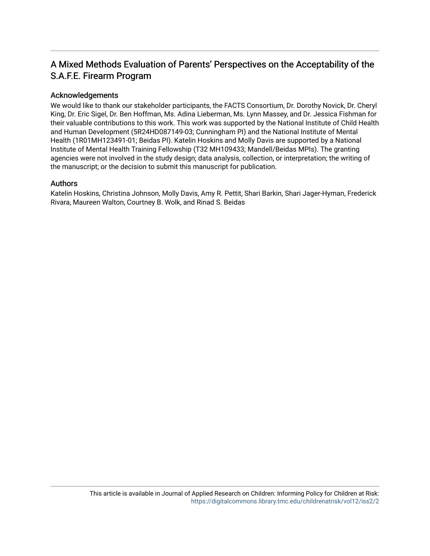# A Mixed Methods Evaluation of Parents' Perspectives on the Acceptability of the S.A.F.E. Firearm Program

#### Acknowledgements

We would like to thank our stakeholder participants, the FACTS Consortium, Dr. Dorothy Novick, Dr. Cheryl King, Dr. Eric Sigel, Dr. Ben Hoffman, Ms. Adina Lieberman, Ms. Lynn Massey, and Dr. Jessica Fishman for their valuable contributions to this work. This work was supported by the National Institute of Child Health and Human Development (5R24HD087149-03; Cunningham PI) and the National Institute of Mental Health (1R01MH123491-01; Beidas PI). Katelin Hoskins and Molly Davis are supported by a National Institute of Mental Health Training Fellowship (T32 MH109433; Mandell/Beidas MPIs). The granting agencies were not involved in the study design; data analysis, collection, or interpretation; the writing of the manuscript; or the decision to submit this manuscript for publication.

#### Authors

Katelin Hoskins, Christina Johnson, Molly Davis, Amy R. Pettit, Shari Barkin, Shari Jager-Hyman, Frederick Rivara, Maureen Walton, Courtney B. Wolk, and Rinad S. Beidas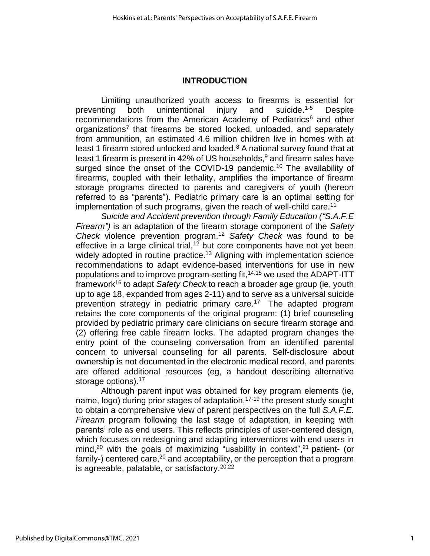#### **INTRODUCTION**

Limiting unauthorized youth access to firearms is essential for preventing both unintentional injury and suicide.<sup>1-5</sup> Despite recommendations from the American Academy of Pediatrics<sup>6</sup> and other organizations<sup>7</sup> that firearms be stored locked, unloaded, and separately from ammunition, an estimated 4.6 million children live in homes with at least 1 firearm stored unlocked and loaded. $8$  A national survey found that at least 1 firearm is present in 42% of US households, $9$  and firearm sales have surged since the onset of the COVID-19 pandemic.<sup>10</sup> The availability of firearms, coupled with their lethality, amplifies the importance of firearm storage programs directed to parents and caregivers of youth (hereon referred to as "parents"). Pediatric primary care is an optimal setting for implementation of such programs, given the reach of well-child care.<sup>11</sup>

*Suicide and Accident prevention through Family Education ("S.A.F.E Firearm")* is an adaptation of the firearm storage component of the *Safety Check* violence prevention program.<sup>12</sup> *Safety Check* was found to be effective in a large clinical trial,<sup>12</sup> but core components have not yet been widely adopted in routine practice.<sup>13</sup> Aligning with implementation science recommendations to adapt evidence-based interventions for use in new populations and to improve program-setting fit,<sup>14,15</sup> we used the ADAPT-ITT framework<sup>16</sup> to adapt Safety Check to reach a broader age group (ie, youth up to age 18, expanded from ages 2-11) and to serve as a universal suicide prevention strategy in pediatric primary care.<sup>17</sup> The adapted program retains the core components of the original program: (1) brief counseling provided by pediatric primary care clinicians on secure firearm storage and (2) offering free cable firearm locks. The adapted program changes the entry point of the counseling conversation from an identified parental concern to universal counseling for all parents. Self-disclosure about ownership is not documented in the electronic medical record, and parents are offered additional resources (eg, a handout describing alternative storage options).<sup>17</sup>

Although parent input was obtained for key program elements (ie, name,  $logo$ ) during prior stages of adaptation,  $17-19$  the present study sought to obtain a comprehensive view of parent perspectives on the full *S.A.F.E. Firearm* program following the last stage of adaptation, in keeping with parents' role as end users. This reflects principles of user-centered design, which focuses on redesigning and adapting interventions with end users in mind,<sup>20</sup> with the goals of maximizing "usability in context",<sup>21</sup> patient- (or family-) centered care,<sup>20</sup> and acceptability, or the perception that a program is agreeable, palatable, or satisfactory.<sup>20,22</sup>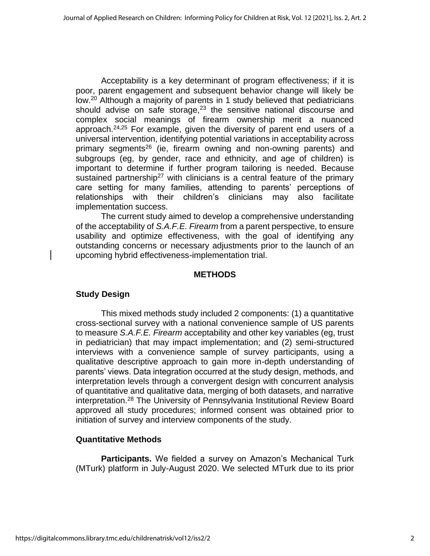Acceptability is a key determinant of program effectiveness; if it is poor, parent engagement and subsequent behavior change will likely be low.<sup>20</sup> Although a majority of parents in 1 study believed that pediatricians should advise on safe storage, $23$  the sensitive national discourse and complex social meanings of firearm ownership merit a nuanced approach.24,25 For example, given the diversity of parent end users of a universal intervention, identifying potential variations in acceptability across primary segments<sup>26</sup> (ie, firearm owning and non-owning parents) and subgroups (eg, by gender, race and ethnicity, and age of children) is important to determine if further program tailoring is needed. Because sustained partnership<sup>27</sup> with clinicians is a central feature of the primary care setting for many families, attending to parents' perceptions of relationships with their children's clinicians may also facilitate implementation success.

The current study aimed to develop a comprehensive understanding of the acceptability of *S.A.F.E. Firearm* from a parent perspective, to ensure usability and optimize effectiveness, with the goal of identifying any outstanding concerns or necessary adjustments prior to the launch of an upcoming hybrid effectiveness-implementation trial.

#### **METHODS**

# **Study Design**

This mixed methods study included 2 components: (1) a quantitative cross-sectional survey with a national convenience sample of US parents to measure *S.A.F.E. Firearm* acceptability and other key variables (eg, trust in pediatrician) that may impact implementation; and (2) semi-structured interviews with a convenience sample of survey participants, using a qualitative descriptive approach to gain more in-depth understanding of parents' views. Data integration occurred at the study design, methods, and interpretation levels through a convergent design with concurrent analysis of quantitative and qualitative data, merging of both datasets, and narrative interpretation.<sup>28</sup> The University of Pennsylvania Institutional Review Board approved all study procedures; informed consent was obtained prior to initiation of survey and interview components of the study.

# **Quantitative Methods**

**Participants.** We fielded a survey on Amazon's Mechanical Turk (MTurk) platform in July-August 2020. We selected MTurk due to its prior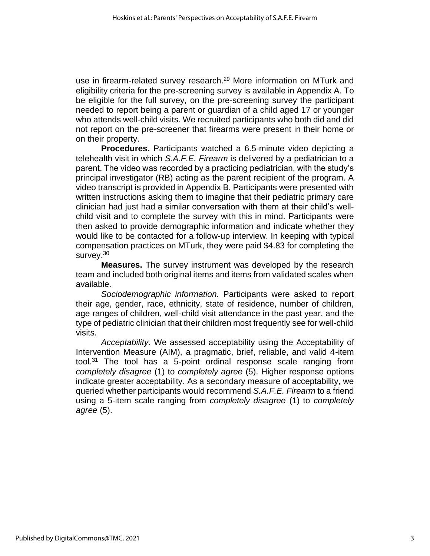use in firearm-related survey research. <sup>29</sup> More information on MTurk and eligibility criteria for the pre-screening survey is available in Appendix A. To be eligible for the full survey, on the pre-screening survey the participant needed to report being a parent or guardian of a child aged 17 or younger who attends well-child visits. We recruited participants who both did and did not report on the pre-screener that firearms were present in their home or on their property.

**Procedures.** Participants watched a 6.5-minute video depicting a telehealth visit in which *S.A.F.E. Firearm* is delivered by a pediatrician to a parent. The video was recorded by a practicing pediatrician, with the study's principal investigator (RB) acting as the parent recipient of the program. A video transcript is provided in Appendix B. Participants were presented with written instructions asking them to imagine that their pediatric primary care clinician had just had a similar conversation with them at their child's wellchild visit and to complete the survey with this in mind. Participants were then asked to provide demographic information and indicate whether they would like to be contacted for a follow-up interview. In keeping with typical compensation practices on MTurk, they were paid \$4.83 for completing the survey.<sup>30</sup>

**Measures.** The survey instrument was developed by the research team and included both original items and items from validated scales when available.

*Sociodemographic information.* Participants were asked to report their age, gender, race, ethnicity, state of residence, number of children, age ranges of children, well-child visit attendance in the past year, and the type of pediatric clinician that their children most frequently see for well-child visits.

*Acceptability*. We assessed acceptability using the Acceptability of Intervention Measure (AIM), a pragmatic, brief, reliable, and valid 4-item tool.<sup>31</sup> The tool has a 5-point ordinal response scale ranging from *completely disagree* (1) to *completely agree* (5). Higher response options indicate greater acceptability. As a secondary measure of acceptability, we queried whether participants would recommend *S.A.F.E. Firearm* to a friend using a 5-item scale ranging from *completely disagree* (1) to *completely agree* (5).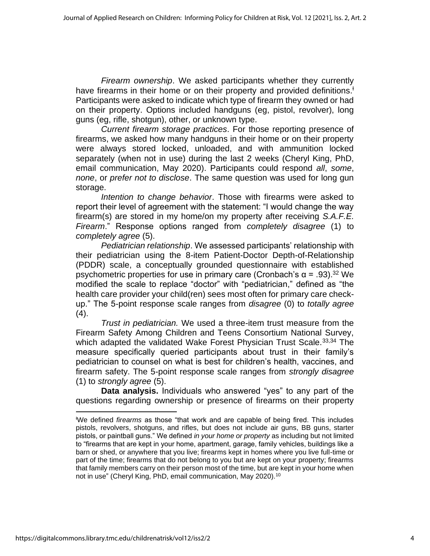*Firearm ownership*. We asked participants whether they currently have firearms in their home or on their property and provided definitions.<sup>+</sup> Participants were asked to indicate which type of firearm they owned or had on their property. Options included handguns (eg, pistol, revolver), long guns (eg, rifle, shotgun), other, or unknown type.

*Current firearm storage practices*. For those reporting presence of firearms, we asked how many handguns in their home or on their property were always stored locked, unloaded, and with ammunition locked separately (when not in use) during the last 2 weeks (Cheryl King, PhD, email communication, May 2020). Participants could respond *all*, *some*, *none*, or *prefer not to disclose*. The same question was used for long gun storage.

*Intention to change behavior*. Those with firearms were asked to report their level of agreement with the statement: "I would change the way firearm(s) are stored in my home/on my property after receiving *S.A.F.E. Firearm*." Response options ranged from *completely disagree* (1) to *completely agree* (5).

*Pediatrician relationship*. We assessed participants' relationship with their pediatrician using the 8-item Patient-Doctor Depth-of-Relationship (PDDR) scale, a conceptually grounded questionnaire with established psychometric properties for use in primary care (Cronbach's  $\alpha = .93$ ).<sup>32</sup> We modified the scale to replace "doctor" with "pediatrician," defined as "the health care provider your child(ren) sees most often for primary care checkup." The 5-point response scale ranges from *disagree* (0) to *totally agree* (4).

*Trust in pediatrician.* We used a three-item trust measure from the Firearm Safety Among Children and Teens Consortium National Survey, which adapted the validated Wake Forest Physician Trust Scale.<sup>33,34</sup> The measure specifically queried participants about trust in their family's pediatrician to counsel on what is best for children's health, vaccines, and firearm safety. The 5-point response scale ranges from *strongly disagree* (1) to *strongly agree* (5).

**Data analysis.** Individuals who answered "yes" to any part of the questions regarding ownership or presence of firearms on their property

<sup>Ɨ</sup>We defined *firearms* as those "that work and are capable of being fired. This includes pistols, revolvers, shotguns, and rifles, but does not include air guns, BB guns, starter pistols, or paintball guns." We defined *in your home or property* as including but not limited to "firearms that are kept in your home, apartment, garage, family vehicles, buildings like a barn or shed, or anywhere that you live; firearms kept in homes where you live full-time or part of the time; firearms that do not belong to you but are kept on your property; firearms that family members carry on their person most of the time, but are kept in your home when not in use" (Cheryl King, PhD, email communication, May 2020).<sup>10</sup>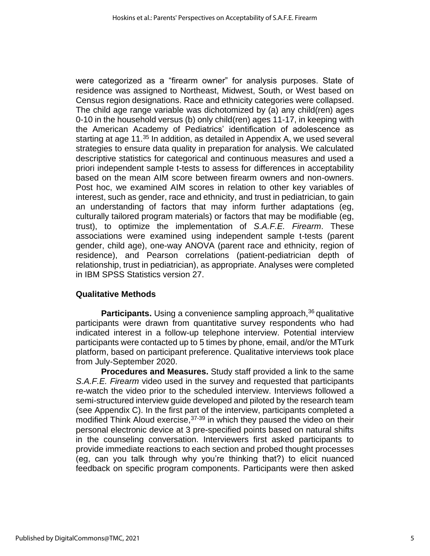were categorized as a "firearm owner" for analysis purposes. State of residence was assigned to Northeast, Midwest, South, or West based on Census region designations. Race and ethnicity categories were collapsed. The child age range variable was dichotomized by (a) any child(ren) ages 0-10 in the household versus (b) only child(ren) ages 11-17, in keeping with the American Academy of Pediatrics' identification of adolescence as starting at age 11.<sup>35</sup> In addition, as detailed in Appendix A, we used several strategies to ensure data quality in preparation for analysis. We calculated descriptive statistics for categorical and continuous measures and used a priori independent sample t-tests to assess for differences in acceptability based on the mean AIM score between firearm owners and non-owners. Post hoc, we examined AIM scores in relation to other key variables of interest, such as gender, race and ethnicity, and trust in pediatrician, to gain an understanding of factors that may inform further adaptations (eg, culturally tailored program materials) or factors that may be modifiable (eg, trust), to optimize the implementation of *S.A.F.E. Firearm*. These associations were examined using independent sample t-tests (parent gender, child age), one-way ANOVA (parent race and ethnicity, region of residence), and Pearson correlations (patient-pediatrician depth of relationship, trust in pediatrician), as appropriate. Analyses were completed in IBM SPSS Statistics version 27.

# **Qualitative Methods**

**Participants.** Using a convenience sampling approach,<sup>36</sup> qualitative participants were drawn from quantitative survey respondents who had indicated interest in a follow-up telephone interview. Potential interview participants were contacted up to 5 times by phone, email, and/or the MTurk platform, based on participant preference. Qualitative interviews took place from July-September 2020.

**Procedures and Measures.** Study staff provided a link to the same *S.A.F.E. Firearm* video used in the survey and requested that participants re-watch the video prior to the scheduled interview. Interviews followed a semi-structured interview guide developed and piloted by the research team (see Appendix C). In the first part of the interview, participants completed a modified Think Aloud exercise,  $37-39$  in which they paused the video on their personal electronic device at 3 pre-specified points based on natural shifts in the counseling conversation. Interviewers first asked participants to provide immediate reactions to each section and probed thought processes (eg, can you talk through why you're thinking that?) to elicit nuanced feedback on specific program components. Participants were then asked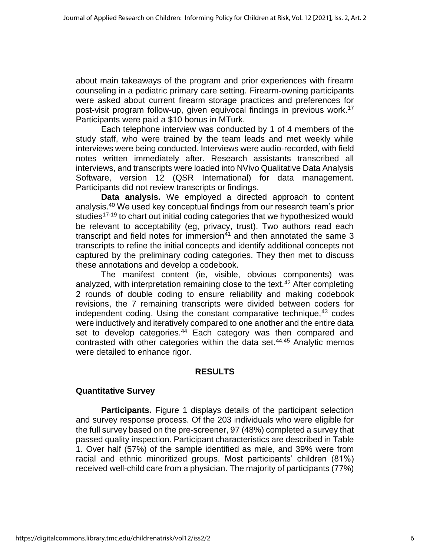about main takeaways of the program and prior experiences with firearm counseling in a pediatric primary care setting. Firearm-owning participants were asked about current firearm storage practices and preferences for post-visit program follow-up, given equivocal findings in previous work.<sup>17</sup> Participants were paid a \$10 bonus in MTurk.

Each telephone interview was conducted by 1 of 4 members of the study staff, who were trained by the team leads and met weekly while interviews were being conducted. Interviews were audio-recorded, with field notes written immediately after. Research assistants transcribed all interviews, and transcripts were loaded into NVivo Qualitative Data Analysis Software, version 12 (QSR International) for data management. Participants did not review transcripts or findings.

**Data analysis.** We employed a directed approach to content analysis.<sup>40</sup> We used key conceptual findings from our research team's prior studies<sup>17-19</sup> to chart out initial coding categories that we hypothesized would be relevant to acceptability (eg, privacy, trust). Two authors read each transcript and field notes for immersion<sup>41</sup> and then annotated the same 3 transcripts to refine the initial concepts and identify additional concepts not captured by the preliminary coding categories. They then met to discuss these annotations and develop a codebook.

The manifest content (ie, visible, obvious components) was analyzed, with interpretation remaining close to the text.<sup>42</sup> After completing 2 rounds of double coding to ensure reliability and making codebook revisions, the 7 remaining transcripts were divided between coders for independent coding. Using the constant comparative technique,<sup>43</sup> codes were inductively and iteratively compared to one another and the entire data set to develop categories.<sup>44</sup> Each category was then compared and contrasted with other categories within the data set. $44,45$  Analytic memos were detailed to enhance rigor.

# **RESULTS**

# **Quantitative Survey**

**Participants.** Figure 1 displays details of the participant selection and survey response process. Of the 203 individuals who were eligible for the full survey based on the pre-screener, 97 (48%) completed a survey that passed quality inspection. Participant characteristics are described in Table 1. Over half (57%) of the sample identified as male, and 39% were from racial and ethnic minoritized groups. Most participants' children (81%) received well-child care from a physician. The majority of participants (77%)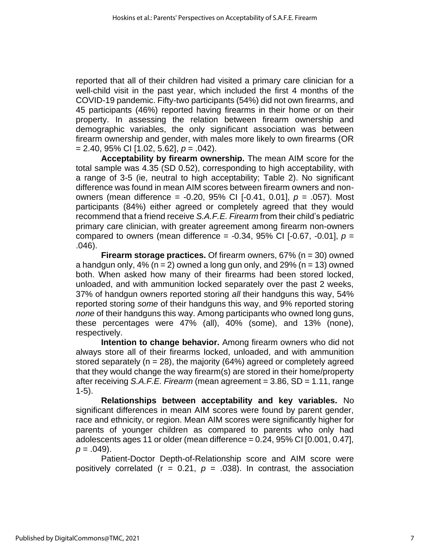reported that all of their children had visited a primary care clinician for a well-child visit in the past year, which included the first 4 months of the COVID-19 pandemic. Fifty-two participants (54%) did not own firearms, and 45 participants (46%) reported having firearms in their home or on their property. In assessing the relation between firearm ownership and demographic variables, the only significant association was between firearm ownership and gender, with males more likely to own firearms (OR = 2.40, 95% CI [1.02, 5.62], *p* = .042).

**Acceptability by firearm ownership.** The mean AIM score for the total sample was 4.35 (SD 0.52), corresponding to high acceptability, with a range of 3-5 (ie, neutral to high acceptability; Table 2). No significant difference was found in mean AIM scores between firearm owners and nonowners (mean difference = -0.20, 95% CI [-0.41, 0.01], *p* = .057). Most participants (84%) either agreed or completely agreed that they would recommend that a friend receive *S.A.F.E. Firearm* from their child's pediatric primary care clinician, with greater agreement among firearm non-owners compared to owners (mean difference = -0.34, 95% CI [-0.67, -0.01], *p* = .046).

**Firearm storage practices.** Of firearm owners, 67% (n = 30) owned a handgun only,  $4\%$  (n = 2) owned a long gun only, and 29% (n = 13) owned both. When asked how many of their firearms had been stored locked, unloaded, and with ammunition locked separately over the past 2 weeks, 37% of handgun owners reported storing *all* their handguns this way, 54% reported storing *some* of their handguns this way, and 9% reported storing *none* of their handguns this way. Among participants who owned long guns, these percentages were 47% (all), 40% (some), and 13% (none), respectively.

**Intention to change behavior.** Among firearm owners who did not always store all of their firearms locked, unloaded, and with ammunition stored separately ( $n = 28$ ), the majority (64%) agreed or completely agreed that they would change the way firearm(s) are stored in their home/property after receiving *S.A.F.E. Firearm* (mean agreement = 3.86, SD = 1.11, range 1-5).

**Relationships between acceptability and key variables.** No significant differences in mean AIM scores were found by parent gender, race and ethnicity, or region. Mean AIM scores were significantly higher for parents of younger children as compared to parents who only had adolescents ages 11 or older (mean difference  $= 0.24$ , 95% CI  $[0.001, 0.47]$ ,  $p = .049$ ).

Patient-Doctor Depth-of-Relationship score and AIM score were positively correlated  $(r = 0.21, p = .038)$ . In contrast, the association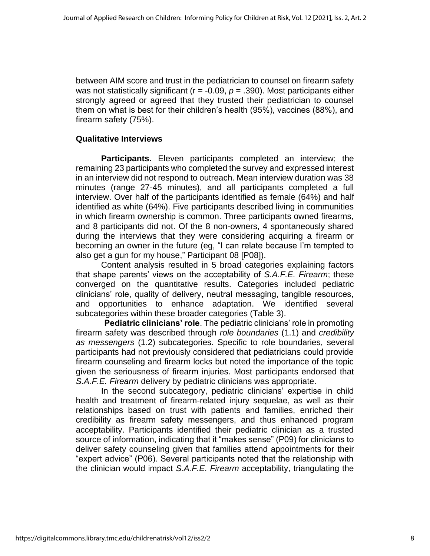between AIM score and trust in the pediatrician to counsel on firearm safety was not statistically significant ( $r = -0.09$ ,  $p = .390$ ). Most participants either strongly agreed or agreed that they trusted their pediatrician to counsel them on what is best for their children's health (95%), vaccines (88%), and firearm safety (75%).

#### **Qualitative Interviews**

**Participants.** Eleven participants completed an interview; the remaining 23 participants who completed the survey and expressed interest in an interview did not respond to outreach. Mean interview duration was 38 minutes (range 27-45 minutes), and all participants completed a full interview. Over half of the participants identified as female (64%) and half identified as white (64%). Five participants described living in communities in which firearm ownership is common. Three participants owned firearms, and 8 participants did not. Of the 8 non-owners, 4 spontaneously shared during the interviews that they were considering acquiring a firearm or becoming an owner in the future (eg, "I can relate because I'm tempted to also get a gun for my house," Participant 08 [P08]).

Content analysis resulted in 5 broad categories explaining factors that shape parents' views on the acceptability of *S.A.F.E. Firearm*; these converged on the quantitative results. Categories included pediatric clinicians' role, quality of delivery, neutral messaging, tangible resources, and opportunities to enhance adaptation. We identified several subcategories within these broader categories (Table 3).

**Pediatric clinicians' role**. The pediatric clinicians' role in promoting firearm safety was described through *role boundaries* (1.1) and *credibility as messengers* (1.2) subcategories. Specific to role boundaries, several participants had not previously considered that pediatricians could provide firearm counseling and firearm locks but noted the importance of the topic given the seriousness of firearm injuries. Most participants endorsed that *S.A.F.E. Firearm* delivery by pediatric clinicians was appropriate.

In the second subcategory, pediatric clinicians' expertise in child health and treatment of firearm-related injury sequelae, as well as their relationships based on trust with patients and families, enriched their credibility as firearm safety messengers, and thus enhanced program acceptability. Participants identified their pediatric clinician as a trusted source of information, indicating that it "makes sense" (P09) for clinicians to deliver safety counseling given that families attend appointments for their "expert advice" (P06). Several participants noted that the relationship with the clinician would impact *S.A.F.E. Firearm* acceptability, triangulating the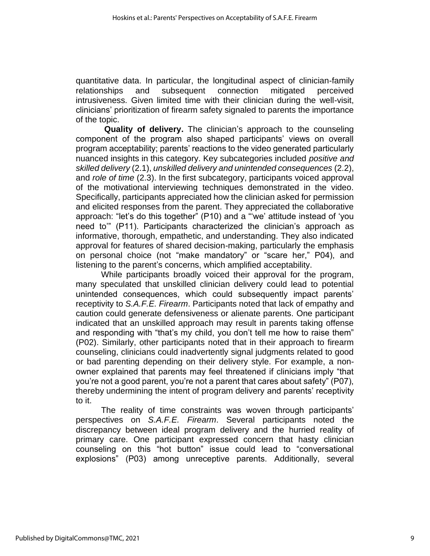quantitative data. In particular, the longitudinal aspect of clinician-family relationships and subsequent connection mitigated perceived intrusiveness. Given limited time with their clinician during the well-visit, clinicians' prioritization of firearm safety signaled to parents the importance of the topic.

**Quality of delivery.** The clinician's approach to the counseling component of the program also shaped participants' views on overall program acceptability; parents' reactions to the video generated particularly nuanced insights in this category. Key subcategories included *positive and skilled delivery* (2.1), *unskilled delivery and unintended consequences* (2.2), and *role of time* (2.3). In the first subcategory, participants voiced approval of the motivational interviewing techniques demonstrated in the video. Specifically, participants appreciated how the clinician asked for permission and elicited responses from the parent. They appreciated the collaborative approach: "let's do this together" (P10) and a "'we' attitude instead of 'you need to'" (P11). Participants characterized the clinician's approach as informative, thorough, empathetic, and understanding. They also indicated approval for features of shared decision-making, particularly the emphasis on personal choice (not "make mandatory" or "scare her," P04), and listening to the parent's concerns, which amplified acceptability.

While participants broadly voiced their approval for the program, many speculated that unskilled clinician delivery could lead to potential unintended consequences, which could subsequently impact parents' receptivity to *S.A.F.E. Firearm*. Participants noted that lack of empathy and caution could generate defensiveness or alienate parents. One participant indicated that an unskilled approach may result in parents taking offense and responding with "that's my child, you don't tell me how to raise them" (P02). Similarly, other participants noted that in their approach to firearm counseling, clinicians could inadvertently signal judgments related to good or bad parenting depending on their delivery style. For example, a nonowner explained that parents may feel threatened if clinicians imply "that you're not a good parent, you're not a parent that cares about safety" (P07), thereby undermining the intent of program delivery and parents' receptivity to it.

The reality of time constraints was woven through participants' perspectives on *S.A.F.E. Firearm*. Several participants noted the discrepancy between ideal program delivery and the hurried reality of primary care. One participant expressed concern that hasty clinician counseling on this "hot button" issue could lead to "conversational explosions" (P03) among unreceptive parents. Additionally, several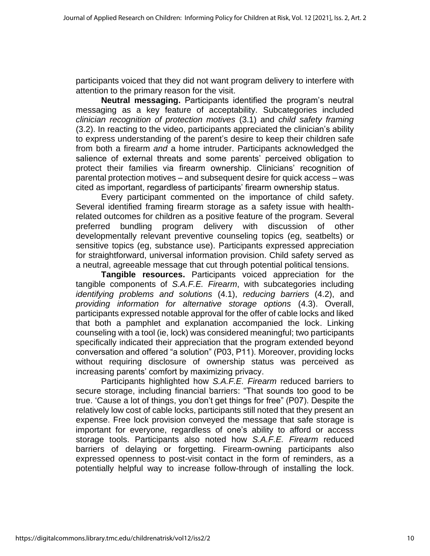participants voiced that they did not want program delivery to interfere with attention to the primary reason for the visit.

**Neutral messaging.** Participants identified the program's neutral messaging as a key feature of acceptability. Subcategories included *clinician recognition of protection motives* (3.1) and *child safety framing* (3.2). In reacting to the video, participants appreciated the clinician's ability to express understanding of the parent's desire to keep their children safe from both a firearm *and* a home intruder. Participants acknowledged the salience of external threats and some parents' perceived obligation to protect their families via firearm ownership. Clinicians' recognition of parental protection motives – and subsequent desire for quick access – was cited as important, regardless of participants' firearm ownership status.

Every participant commented on the importance of child safety. Several identified framing firearm storage as a safety issue with healthrelated outcomes for children as a positive feature of the program. Several preferred bundling program delivery with discussion of other developmentally relevant preventive counseling topics (eg, seatbelts) or sensitive topics (eg, substance use). Participants expressed appreciation for straightforward, universal information provision. Child safety served as a neutral, agreeable message that cut through potential political tensions.

**Tangible resources.** Participants voiced appreciation for the tangible components of *S.A.F.E. Firearm*, with subcategories including *identifying problems and solutions* (4.1), *reducing barriers* (4.2), and *providing information for alternative storage options* (4.3). Overall, participants expressed notable approval for the offer of cable locks and liked that both a pamphlet and explanation accompanied the lock. Linking counseling with a tool (ie, lock) was considered meaningful; two participants specifically indicated their appreciation that the program extended beyond conversation and offered "a solution" (P03, P11). Moreover, providing locks without requiring disclosure of ownership status was perceived as increasing parents' comfort by maximizing privacy.

Participants highlighted how *S.A.F.E. Firearm* reduced barriers to secure storage, including financial barriers: "That sounds too good to be true. 'Cause a lot of things, you don't get things for free" (P07). Despite the relatively low cost of cable locks, participants still noted that they present an expense. Free lock provision conveyed the message that safe storage is important for everyone, regardless of one's ability to afford or access storage tools. Participants also noted how *S.A.F.E. Firearm* reduced barriers of delaying or forgetting. Firearm-owning participants also expressed openness to post-visit contact in the form of reminders, as a potentially helpful way to increase follow-through of installing the lock.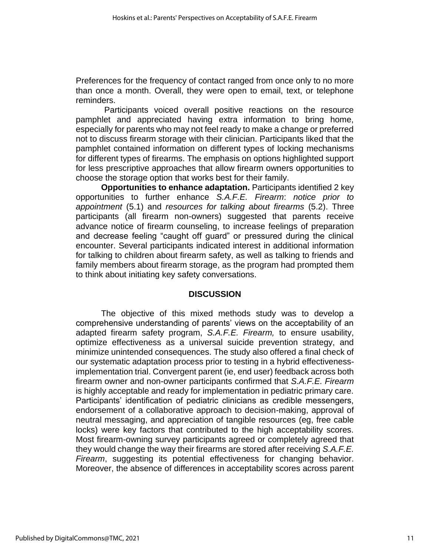Preferences for the frequency of contact ranged from once only to no more than once a month. Overall, they were open to email, text, or telephone reminders.

Participants voiced overall positive reactions on the resource pamphlet and appreciated having extra information to bring home, especially for parents who may not feel ready to make a change or preferred not to discuss firearm storage with their clinician. Participants liked that the pamphlet contained information on different types of locking mechanisms for different types of firearms. The emphasis on options highlighted support for less prescriptive approaches that allow firearm owners opportunities to choose the storage option that works best for their family.

**Opportunities to enhance adaptation.** Participants identified 2 key opportunities to further enhance *S.A.F.E. Firearm*: *notice prior to appointment* (5.1) and *resources for talking about firearms* (5.2). Three participants (all firearm non-owners) suggested that parents receive advance notice of firearm counseling, to increase feelings of preparation and decrease feeling "caught off guard" or pressured during the clinical encounter. Several participants indicated interest in additional information for talking to children about firearm safety, as well as talking to friends and family members about firearm storage, as the program had prompted them to think about initiating key safety conversations.

#### **DISCUSSION**

The objective of this mixed methods study was to develop a comprehensive understanding of parents' views on the acceptability of an adapted firearm safety program, *S.A.F.E. Firearm,* to ensure usability, optimize effectiveness as a universal suicide prevention strategy, and minimize unintended consequences. The study also offered a final check of our systematic adaptation process prior to testing in a hybrid effectivenessimplementation trial. Convergent parent (ie, end user) feedback across both firearm owner and non-owner participants confirmed that *S.A.F.E. Firearm* is highly acceptable and ready for implementation in pediatric primary care. Participants' identification of pediatric clinicians as credible messengers, endorsement of a collaborative approach to decision-making, approval of neutral messaging, and appreciation of tangible resources (eg, free cable locks) were key factors that contributed to the high acceptability scores. Most firearm-owning survey participants agreed or completely agreed that they would change the way their firearms are stored after receiving *S.A.F.E. Firearm*, suggesting its potential effectiveness for changing behavior. Moreover, the absence of differences in acceptability scores across parent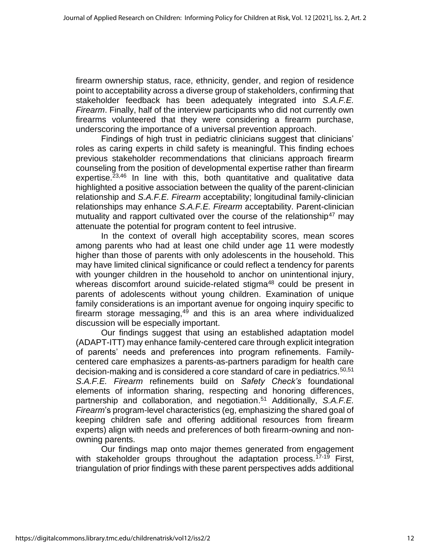firearm ownership status, race, ethnicity, gender, and region of residence point to acceptability across a diverse group of stakeholders, confirming that stakeholder feedback has been adequately integrated into *S.A.F.E. Firearm*. Finally, half of the interview participants who did not currently own firearms volunteered that they were considering a firearm purchase, underscoring the importance of a universal prevention approach.

Findings of high trust in pediatric clinicians suggest that clinicians' roles as caring experts in child safety is meaningful. This finding echoes previous stakeholder recommendations that clinicians approach firearm counseling from the position of developmental expertise rather than firearm expertise.<sup>23,46</sup> In line with this, both quantitative and qualitative data highlighted a positive association between the quality of the parent-clinician relationship and *S.A.F.E. Firearm* acceptability; longitudinal family-clinician relationships may enhance *S.A.F.E. Firearm* acceptability. Parent-clinician mutuality and rapport cultivated over the course of the relationship<sup>47</sup> may attenuate the potential for program content to feel intrusive.

In the context of overall high acceptability scores, mean scores among parents who had at least one child under age 11 were modestly higher than those of parents with only adolescents in the household. This may have limited clinical significance or could reflect a tendency for parents with younger children in the household to anchor on unintentional injury, whereas discomfort around suicide-related stigma<sup>48</sup> could be present in parents of adolescents without young children. Examination of unique family considerations is an important avenue for ongoing inquiry specific to firearm storage messaging, $49$  and this is an area where individualized discussion will be especially important.

Our findings suggest that using an established adaptation model (ADAPT-ITT) may enhance family-centered care through explicit integration of parents' needs and preferences into program refinements. Familycentered care emphasizes a parents-as-partners paradigm for health care decision-making and is considered a core standard of care in pediatrics.<sup>50,51</sup> *S.A.F.E. Firearm* refinements build on *Safety Check's* foundational elements of information sharing, respecting and honoring differences, partnership and collaboration, and negotiation. <sup>51</sup> Additionally, *S.A.F.E. Firearm*'s program-level characteristics (eg, emphasizing the shared goal of keeping children safe and offering additional resources from firearm experts) align with needs and preferences of both firearm-owning and nonowning parents.

Our findings map onto major themes generated from engagement with stakeholder groups throughout the adaptation process.<sup>17-19</sup> First, triangulation of prior findings with these parent perspectives adds additional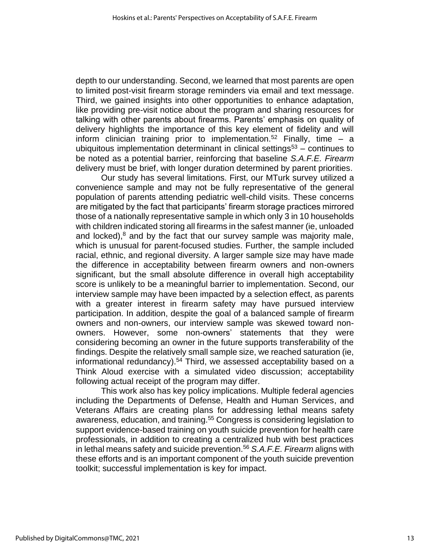depth to our understanding. Second, we learned that most parents are open to limited post-visit firearm storage reminders via email and text message. Third, we gained insights into other opportunities to enhance adaptation, like providing pre-visit notice about the program and sharing resources for talking with other parents about firearms. Parents' emphasis on quality of delivery highlights the importance of this key element of fidelity and will inform clinician training prior to implementation.<sup>52</sup> Finally, time  $-$  a ubiquitous implementation determinant in clinical settings<sup>53</sup> – continues to be noted as a potential barrier, reinforcing that baseline *S.A.F.E. Firearm* delivery must be brief, with longer duration determined by parent priorities.

Our study has several limitations. First, our MTurk survey utilized a convenience sample and may not be fully representative of the general population of parents attending pediatric well-child visits. These concerns are mitigated by the fact that participants' firearm storage practices mirrored those of a nationally representative sample in which only 3 in 10 households with children indicated storing all firearms in the safest manner (ie, unloaded and locked), $8$  and by the fact that our survey sample was majority male, which is unusual for parent-focused studies. Further, the sample included racial, ethnic, and regional diversity. A larger sample size may have made the difference in acceptability between firearm owners and non-owners significant, but the small absolute difference in overall high acceptability score is unlikely to be a meaningful barrier to implementation. Second, our interview sample may have been impacted by a selection effect, as parents with a greater interest in firearm safety may have pursued interview participation. In addition, despite the goal of a balanced sample of firearm owners and non-owners, our interview sample was skewed toward nonowners. However, some non-owners' statements that they were considering becoming an owner in the future supports transferability of the findings. Despite the relatively small sample size, we reached saturation (ie, informational redundancy). <sup>54</sup> Third, we assessed acceptability based on a Think Aloud exercise with a simulated video discussion; acceptability following actual receipt of the program may differ.

This work also has key policy implications. Multiple federal agencies including the Departments of Defense, Health and Human Services, and Veterans Affairs are creating plans for addressing lethal means safety awareness, education, and training.<sup>55</sup> Congress is considering legislation to support evidence-based training on youth suicide prevention for health care professionals, in addition to creating a centralized hub with best practices in lethal means safety and suicide prevention.<sup>56</sup> *S.A.F.E. Firearm* aligns with these efforts and is an important component of the youth suicide prevention toolkit; successful implementation is key for impact.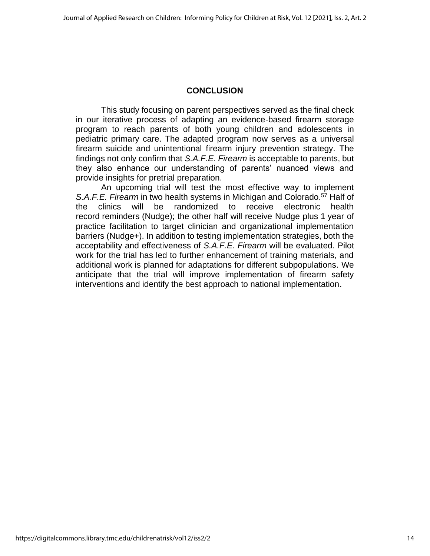# **CONCLUSION**

This study focusing on parent perspectives served as the final check in our iterative process of adapting an evidence-based firearm storage program to reach parents of both young children and adolescents in pediatric primary care. The adapted program now serves as a universal firearm suicide and unintentional firearm injury prevention strategy. The findings not only confirm that *S.A.F.E. Firearm* is acceptable to parents, but they also enhance our understanding of parents' nuanced views and provide insights for pretrial preparation.

An upcoming trial will test the most effective way to implement *S.A.F.E. Firearm* in two health systems in Michigan and Colorado. <sup>57</sup> Half of the clinics will be randomized to receive electronic health record reminders (Nudge); the other half will receive Nudge plus 1 year of practice facilitation to target clinician and organizational implementation barriers (Nudge+). In addition to testing implementation strategies, both the acceptability and effectiveness of *S.A.F.E. Firearm* will be evaluated. Pilot work for the trial has led to further enhancement of training materials, and additional work is planned for adaptations for different subpopulations. We anticipate that the trial will improve implementation of firearm safety interventions and identify the best approach to national implementation.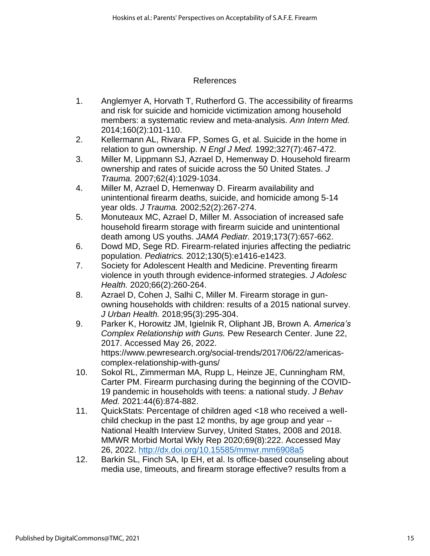# References

- 1. Anglemyer A, Horvath T, Rutherford G. The accessibility of firearms and risk for suicide and homicide victimization among household members: a systematic review and meta-analysis. *Ann Intern Med.*  2014;160(2):101-110.
- 2. Kellermann AL, Rivara FP, Somes G, et al. Suicide in the home in relation to gun ownership. *N Engl J Med.* 1992;327(7):467-472.
- 3. Miller M, Lippmann SJ, Azrael D, Hemenway D. Household firearm ownership and rates of suicide across the 50 United States. *J Trauma.* 2007;62(4):1029-1034.
- 4. Miller M, Azrael D, Hemenway D. Firearm availability and unintentional firearm deaths, suicide, and homicide among 5-14 year olds. *J Trauma.* 2002;52(2):267-274.
- 5. Monuteaux MC, Azrael D, Miller M. Association of increased safe household firearm storage with firearm suicide and unintentional death among US youths. *JAMA Pediatr.* 2019;173(7):657-662.
- 6. Dowd MD, Sege RD. Firearm-related injuries affecting the pediatric population. *Pediatrics.* 2012;130(5):e1416-e1423.
- 7. Society for Adolescent Health and Medicine. Preventing firearm violence in youth through evidence-informed strategies. *J Adolesc Health.* 2020;66(2):260-264.
- 8. Azrael D, Cohen J, Salhi C, Miller M. Firearm storage in gunowning households with children: results of a 2015 national survey. *J Urban Health.* 2018;95(3):295-304.
- 9. Parker K, Horowitz JM, Igielnik R, Oliphant JB, Brown A. *America's Complex Relationship with Guns.* Pew Research Center. June 22, 2017. Accessed May 26, 2022. https://www.pewresearch.org/social-trends/2017/06/22/americascomplex-relationship-with-guns/
- 10. Sokol RL, Zimmerman MA, Rupp L, Heinze JE, Cunningham RM, Carter PM. Firearm purchasing during the beginning of the COVID-19 pandemic in households with teens: a national study. *J Behav Med.* 2021:44(6):874-882.
- 11. QuickStats: Percentage of children aged <18 who received a wellchild checkup in the past 12 months, by age group and year -- National Health Interview Survey, United States, 2008 and 2018. MMWR Morbid Mortal Wkly Rep 2020;69(8):222. Accessed May 26, 2022. <http://dx.doi.org/10.15585/mmwr.mm6908a5>
- 12. Barkin SL, Finch SA, Ip EH, et al. Is office-based counseling about media use, timeouts, and firearm storage effective? results from a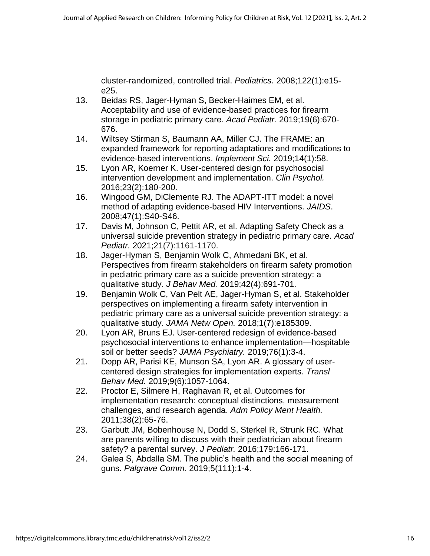cluster-randomized, controlled trial. *Pediatrics.* 2008;122(1):e15 e25.

- 13. Beidas RS, Jager-Hyman S, Becker-Haimes EM, et al. Acceptability and use of evidence-based practices for firearm storage in pediatric primary care. *Acad Pediatr.* 2019;19(6):670- 676.
- 14. Wiltsey Stirman S, Baumann AA, Miller CJ. The FRAME: an expanded framework for reporting adaptations and modifications to evidence-based interventions. *Implement Sci.* 2019;14(1):58.
- 15. Lyon AR, Koerner K. User-centered design for psychosocial intervention development and implementation. *Clin Psychol.*  2016;23(2):180-200.
- 16. Wingood GM, DiClemente RJ. The ADAPT-ITT model: a novel method of adapting evidence-based HIV Interventions. *JAIDS*. 2008;47(1):S40-S46.
- 17. Davis M, Johnson C, Pettit AR, et al. Adapting Safety Check as a universal suicide prevention strategy in pediatric primary care. *Acad Pediatr.* 2021;21(7):1161-1170.
- 18. Jager-Hyman S, Benjamin Wolk C, Ahmedani BK, et al. Perspectives from firearm stakeholders on firearm safety promotion in pediatric primary care as a suicide prevention strategy: a qualitative study. *J Behav Med.* 2019;42(4):691-701.
- 19. Benjamin Wolk C, Van Pelt AE, Jager-Hyman S, et al. Stakeholder perspectives on implementing a firearm safety intervention in pediatric primary care as a universal suicide prevention strategy: a qualitative study. *JAMA Netw Open.* 2018;1(7):e185309.
- 20. Lyon AR, Bruns EJ. User-centered redesign of evidence-based psychosocial interventions to enhance implementation—hospitable soil or better seeds? *JAMA Psychiatry.* 2019;76(1):3-4.
- 21. Dopp AR, Parisi KE, Munson SA, Lyon AR. A glossary of usercentered design strategies for implementation experts. *Transl Behav Med.* 2019;9(6):1057-1064.
- 22. Proctor E, Silmere H, Raghavan R, et al. Outcomes for implementation research: conceptual distinctions, measurement challenges, and research agenda. *Adm Policy Ment Health.*  2011;38(2):65-76.
- 23. Garbutt JM, Bobenhouse N, Dodd S, Sterkel R, Strunk RC. What are parents willing to discuss with their pediatrician about firearm safety? a parental survey. *J Pediatr.* 2016;179:166-171.
- 24. Galea S, Abdalla SM. The public's health and the social meaning of guns. *Palgrave Comm.* 2019;5(111):1-4.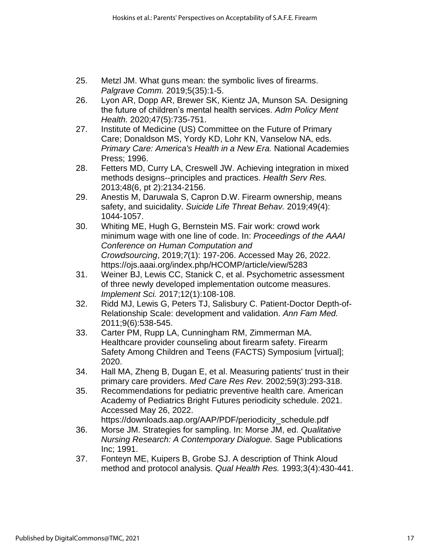- 25. Metzl JM. What guns mean: the symbolic lives of firearms. *Palgrave Comm.* 2019;5(35):1-5.
- 26. Lyon AR, Dopp AR, Brewer SK, Kientz JA, Munson SA. Designing the future of children's mental health services. *Adm Policy Ment Health.* 2020;47(5):735-751.
- 27. Institute of Medicine (US) Committee on the Future of Primary Care; Donaldson MS, Yordy KD, Lohr KN, Vanselow NA, eds. *Primary Care: America's Health in a New Era.* National Academies Press; 1996.
- 28. Fetters MD, Curry LA, Creswell JW. Achieving integration in mixed methods designs--principles and practices. *Health Serv Res.*  2013;48(6, pt 2):2134-2156.
- 29. Anestis M, Daruwala S, Capron D.W. Firearm ownership, means safety, and suicidality. *Suicide Life Threat Behav.* 2019;49(4): 1044-1057.
- 30. Whiting ME, Hugh G, Bernstein MS. Fair work: crowd work minimum wage with one line of code. In: *Proceedings of the AAAI Conference on Human Computation and Crowdsourcing*, 2019;*7*(1): 197-206. Accessed May 26, 2022. https://ojs.aaai.org/index.php/HCOMP/article/view/5283
- 31. Weiner BJ, Lewis CC, Stanick C, et al. Psychometric assessment of three newly developed implementation outcome measures. *Implement Sci.* 2017;12(1):108-108.
- 32. Ridd MJ, Lewis G, Peters TJ, Salisbury C. Patient-Doctor Depth-of-Relationship Scale: development and validation. *Ann Fam Med.*  2011;9(6):538-545.
- 33. Carter PM, Rupp LA, Cunningham RM, Zimmerman MA. Healthcare provider counseling about firearm safety. Firearm Safety Among Children and Teens (FACTS) Symposium [virtual]; 2020.
- 34. Hall MA, Zheng B, Dugan E, et al. Measuring patients' trust in their primary care providers. *Med Care Res Rev.* 2002;59(3):293-318.
- 35. Recommendations for pediatric preventive health care. American Academy of Pediatrics Bright Futures periodicity schedule. 2021. Accessed May 26, 2022. https://downloads.aap.org/AAP/PDF/periodicity\_schedule.pdf
- 36. Morse JM. Strategies for sampling. In: Morse JM, ed. *Qualitative Nursing Research: A Contemporary Dialogue.* Sage Publications Inc; 1991.
- 37. Fonteyn ME, Kuipers B, Grobe SJ. A description of Think Aloud method and protocol analysis. *Qual Health Res.* 1993;3(4):430-441.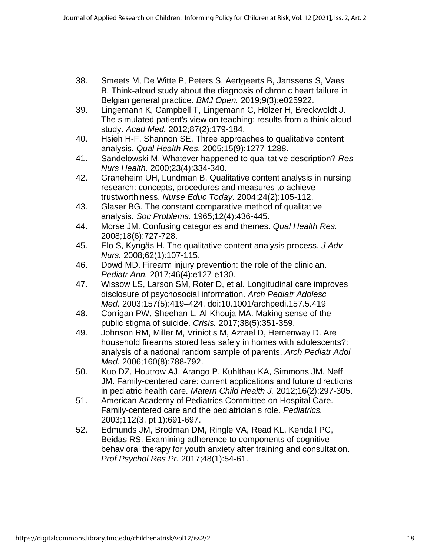- 38. Smeets M, De Witte P, Peters S, Aertgeerts B, Janssens S, Vaes B. Think-aloud study about the diagnosis of chronic heart failure in Belgian general practice. *BMJ Open.* 2019;9(3):e025922.
- 39. Lingemann K, Campbell T, Lingemann C, Hölzer H, Breckwoldt J. The simulated patient's view on teaching: results from a think aloud study. *Acad Med.* 2012;87(2):179-184.
- 40. Hsieh H-F, Shannon SE. Three approaches to qualitative content analysis. *Qual Health Res.* 2005;15(9):1277-1288.
- 41. Sandelowski M. Whatever happened to qualitative description? *Res Nurs Health.* 2000;23(4):334-340.
- 42. Graneheim UH, Lundman B. Qualitative content analysis in nursing research: concepts, procedures and measures to achieve trustworthiness. *Nurse Educ Today*. 2004;24(2):105-112.
- 43. Glaser BG. The constant comparative method of qualitative analysis. *Soc Problems.* 1965;12(4):436-445.
- 44. Morse JM. Confusing categories and themes. *Qual Health Res.*  2008;18(6):727-728.
- 45. Elo S, Kyngäs H. The qualitative content analysis process. *J Adv Nurs.* 2008;62(1):107-115.
- 46. Dowd MD. Firearm injury prevention: the role of the clinician. *Pediatr Ann.* 2017;46(4):e127-e130.
- 47. Wissow LS, Larson SM, Roter D, et al. Longitudinal care improves disclosure of psychosocial information. *Arch Pediatr Adolesc Med.* 2003;157(5):419–424. doi:10.1001/archpedi.157.5.419
- 48. Corrigan PW, Sheehan L, Al-Khouja MA. Making sense of the public stigma of suicide. *Crisis.* 2017;38(5):351-359.
- 49. Johnson RM, Miller M, Vriniotis M, Azrael D, Hemenway D. Are household firearms stored less safely in homes with adolescents?: analysis of a national random sample of parents. *Arch Pediatr Adol Med.* 2006;160(8):788-792.
- 50. Kuo DZ, Houtrow AJ, Arango P, Kuhlthau KA, Simmons JM, Neff JM. Family-centered care: current applications and future directions in pediatric health care. *Matern Child Health J.* 2012;16(2):297-305.
- 51. American Academy of Pediatrics Committee on Hospital Care. Family-centered care and the pediatrician's role. *Pediatrics.*  2003;112(3, pt 1):691-697.
- 52. Edmunds JM, Brodman DM, Ringle VA, Read KL, Kendall PC, Beidas RS. Examining adherence to components of cognitivebehavioral therapy for youth anxiety after training and consultation. *Prof Psychol Res Pr.* 2017;48(1):54-61.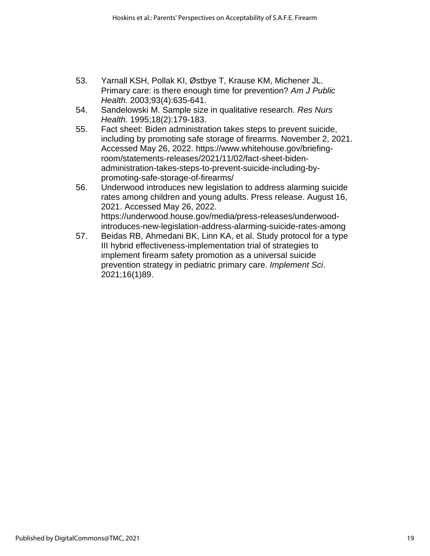- 53. Yarnall KSH, Pollak KI, Østbye T, Krause KM, Michener JL. Primary care: is there enough time for prevention? *Am J Public Health.* 2003;93(4):635-641.
- 54. Sandelowski M. Sample size in qualitative research. *Res Nurs Health.* 1995;18(2):179-183.
- 55. Fact sheet: Biden administration takes steps to prevent suicide, including by promoting safe storage of firearms. November 2, 2021. Accessed May 26, 2022. https://www.whitehouse.gov/briefingroom/statements-releases/2021/11/02/fact-sheet-bidenadministration-takes-steps-to-prevent-suicide-including-bypromoting-safe-storage-of-firearms/
- 56. Underwood introduces new legislation to address alarming suicide rates among children and young adults. Press release. August 16, 2021. Accessed May 26, 2022. https://underwood.house.gov/media/press-releases/underwoodintroduces-new-legislation-address-alarming-suicide-rates-among
- 57. Beidas RB, Ahmedani BK, Linn KA, et al. Study protocol for a type III hybrid effectiveness-implementation trial of strategies to implement firearm safety promotion as a universal suicide prevention strategy in pediatric primary care. *Implement Sci*. 2021;16(1)89.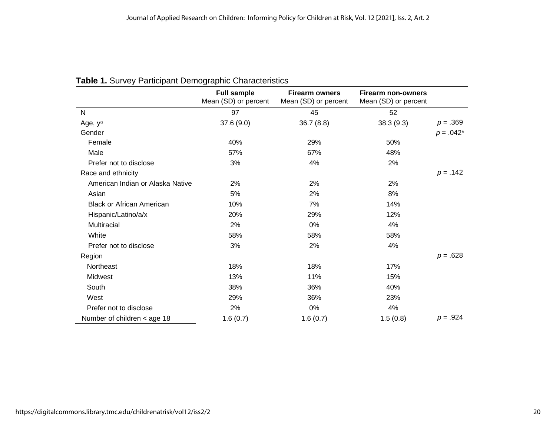|                                  | <b>Full sample</b><br>Mean (SD) or percent | <b>Firearm owners</b><br>Mean (SD) or percent | <b>Firearm non-owners</b><br>Mean (SD) or percent |             |
|----------------------------------|--------------------------------------------|-----------------------------------------------|---------------------------------------------------|-------------|
| N                                | 97                                         | 45                                            | 52                                                |             |
| Age, y <sup>a</sup>              | 37.6(9.0)                                  | 36.7(8.8)                                     | 38.3 (9.3)                                        | $p = .369$  |
| Gender                           |                                            |                                               |                                                   | $p = .042*$ |
| Female                           | 40%                                        | 29%                                           | 50%                                               |             |
| Male                             | 57%                                        | 67%                                           | 48%                                               |             |
| Prefer not to disclose           | 3%                                         | 4%                                            | 2%                                                |             |
| Race and ethnicity               |                                            |                                               |                                                   | $p = .142$  |
| American Indian or Alaska Native | 2%                                         | 2%                                            | 2%                                                |             |
| Asian                            | 5%                                         | 2%                                            | 8%                                                |             |
| <b>Black or African American</b> | 10%                                        | 7%                                            | 14%                                               |             |
| Hispanic/Latino/a/x              | 20%                                        | 29%                                           | 12%                                               |             |
| Multiracial                      | 2%                                         | 0%                                            | 4%                                                |             |
| White                            | 58%                                        | 58%                                           | 58%                                               |             |
| Prefer not to disclose           | 3%                                         | 2%                                            | 4%                                                |             |
| Region                           |                                            |                                               |                                                   | $p = .628$  |
| Northeast                        | 18%                                        | 18%                                           | 17%                                               |             |
| Midwest                          | 13%                                        | 11%                                           | 15%                                               |             |
| South                            | 38%                                        | 36%                                           | 40%                                               |             |
| West                             | 29%                                        | 36%                                           | 23%                                               |             |
| Prefer not to disclose           | 2%                                         | 0%                                            | 4%                                                |             |
| Number of children < age 18      | 1.6(0.7)                                   | 1.6(0.7)                                      | 1.5(0.8)                                          | $p = .924$  |

# **Table 1.** Survey Participant Demographic Characteristics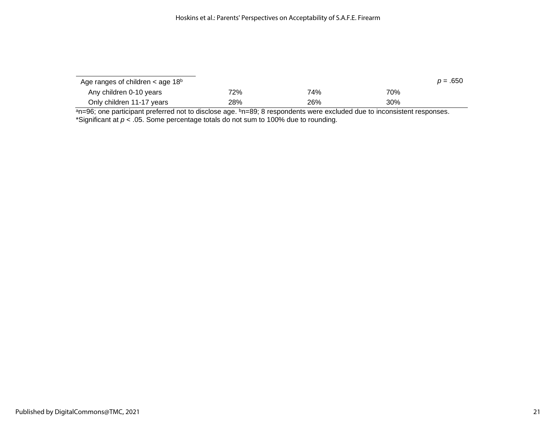| Age ranges of children $\lt$ age 18 <sup>b</sup> |     |     |     | $p = .650$ |
|--------------------------------------------------|-----|-----|-----|------------|
| Any children 0-10 years                          | 72% | 74% | 70% |            |
| Only children 11-17 years                        | 28% | 26% | 30% |            |

<sup>a</sup>n=96; one participant preferred not to disclose age. <sup>b</sup>n=89; 8 respondents were excluded due to inconsistent responses. \*Significant at *p* < .05. Some percentage totals do not sum to 100% due to rounding.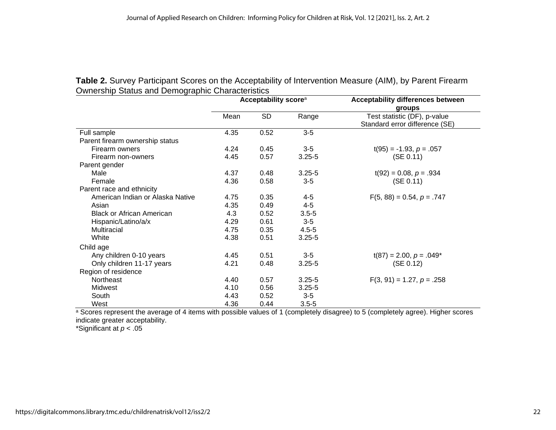| Uniformly Utatas and Domographic Unaracteristics | Acceptability score <sup>a</sup> |           |            | <b>Acceptability differences between</b><br>groups             |
|--------------------------------------------------|----------------------------------|-----------|------------|----------------------------------------------------------------|
|                                                  | Mean                             | <b>SD</b> | Range      | Test statistic (DF), p-value<br>Standard error difference (SE) |
| Full sample                                      | 4.35                             | 0.52      | $3-5$      |                                                                |
| Parent firearm ownership status                  |                                  |           |            |                                                                |
| Firearm owners                                   | 4.24                             | 0.45      | $3-5$      | $t(95) = -1.93, p = .057$                                      |
| Firearm non-owners                               | 4.45                             | 0.57      | $3.25 - 5$ | (SE 0.11)                                                      |
| Parent gender                                    |                                  |           |            |                                                                |
| Male                                             | 4.37                             | 0.48      | $3.25 - 5$ | $t(92) = 0.08, p = .934$                                       |
| Female                                           | 4.36                             | 0.58      | $3-5$      | (SE 0.11)                                                      |
| Parent race and ethnicity                        |                                  |           |            |                                                                |
| American Indian or Alaska Native                 | 4.75                             | 0.35      | $4 - 5$    | $F(5, 88) = 0.54, p = .747$                                    |
| Asian                                            | 4.35                             | 0.49      | $4 - 5$    |                                                                |
| <b>Black or African American</b>                 | 4.3                              | 0.52      | $3.5 - 5$  |                                                                |
| Hispanic/Latino/a/x                              | 4.29                             | 0.61      | $3-5$      |                                                                |
| Multiracial                                      | 4.75                             | 0.35      | $4.5 - 5$  |                                                                |
| White                                            | 4.38                             | 0.51      | $3.25 - 5$ |                                                                |
| Child age                                        |                                  |           |            |                                                                |
| Any children 0-10 years                          | 4.45                             | 0.51      | $3-5$      | $t(87) = 2.00, p = .049*$                                      |
| Only children 11-17 years                        | 4.21                             | 0.48      | $3.25 - 5$ | (SE 0.12)                                                      |
| Region of residence                              |                                  |           |            |                                                                |
| Northeast                                        | 4.40                             | 0.57      | $3.25 - 5$ | $F(3, 91) = 1.27, p = .258$                                    |
| <b>Midwest</b>                                   | 4.10                             | 0.56      | $3.25 - 5$ |                                                                |
| South                                            | 4.43                             | 0.52      | $3-5$      |                                                                |
| West                                             | 4.36                             | 0.44      | $3.5 - 5$  |                                                                |

**Table 2.** Survey Participant Scores on the Acceptability of Intervention Measure (AIM), by Parent Firearm Ownership Status and Demographic Characteristics

a Scores represent the average of 4 items with possible values of 1 (completely disagree) to 5 (completely agree). Higher scores indicate greater acceptability.

\*Significant at *p* < .05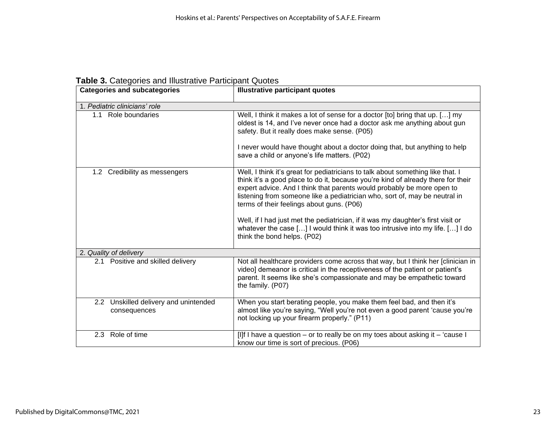| <b>Categories and subcategories</b>                   | <b>Illustrative participant quotes</b>                                                                                                                                                                                                                                                                                                                                                                                                                                                                                                                                       |
|-------------------------------------------------------|------------------------------------------------------------------------------------------------------------------------------------------------------------------------------------------------------------------------------------------------------------------------------------------------------------------------------------------------------------------------------------------------------------------------------------------------------------------------------------------------------------------------------------------------------------------------------|
| 1. Pediatric clinicians' role                         |                                                                                                                                                                                                                                                                                                                                                                                                                                                                                                                                                                              |
| 1.1 Role boundaries                                   | Well, I think it makes a lot of sense for a doctor [to] bring that up. [] my<br>oldest is 14, and I've never once had a doctor ask me anything about gun<br>safety. But it really does make sense. (P05)<br>I never would have thought about a doctor doing that, but anything to help<br>save a child or anyone's life matters. (P02)                                                                                                                                                                                                                                       |
| 1.2 Credibility as messengers                         | Well, I think it's great for pediatricians to talk about something like that. I<br>think it's a good place to do it, because you're kind of already there for their<br>expert advice. And I think that parents would probably be more open to<br>listening from someone like a pediatrician who, sort of, may be neutral in<br>terms of their feelings about guns. (P06)<br>Well, if I had just met the pediatrician, if it was my daughter's first visit or<br>whatever the case [] I would think it was too intrusive into my life. [] I do<br>think the bond helps. (P02) |
| 2. Quality of delivery                                |                                                                                                                                                                                                                                                                                                                                                                                                                                                                                                                                                                              |
| 2.1 Positive and skilled delivery                     | Not all healthcare providers come across that way, but I think her [clinician in<br>video] demeanor is critical in the receptiveness of the patient or patient's<br>parent. It seems like she's compassionate and may be empathetic toward<br>the family. (P07)                                                                                                                                                                                                                                                                                                              |
| 2.2 Unskilled delivery and unintended<br>consequences | When you start berating people, you make them feel bad, and then it's<br>almost like you're saying, "Well you're not even a good parent 'cause you're<br>not locking up your firearm properly." (P11)                                                                                                                                                                                                                                                                                                                                                                        |
| 2.3 Role of time                                      | [I]f I have a question – or to really be on my toes about asking it – 'cause I<br>know our time is sort of precious. (P06)                                                                                                                                                                                                                                                                                                                                                                                                                                                   |

#### **Table 3.** Categories and Illustrative Participant Quotes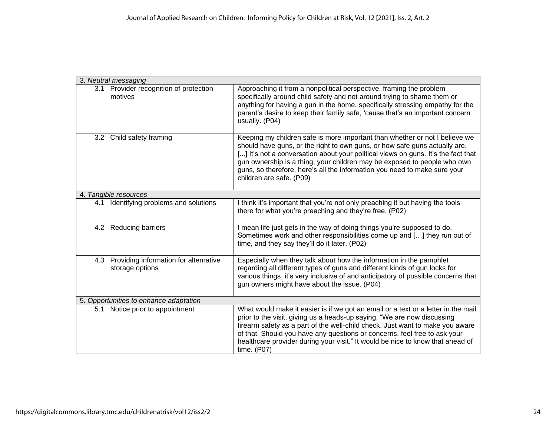| 3. Neutral messaging                                         |                                                                                                                                                                                                                                                                                                                                                                                                                                     |
|--------------------------------------------------------------|-------------------------------------------------------------------------------------------------------------------------------------------------------------------------------------------------------------------------------------------------------------------------------------------------------------------------------------------------------------------------------------------------------------------------------------|
| 3.1 Provider recognition of protection<br>motives            | Approaching it from a nonpolitical perspective, framing the problem<br>specifically around child safety and not around trying to shame them or<br>anything for having a gun in the home, specifically stressing empathy for the<br>parent's desire to keep their family safe, 'cause that's an important concern<br>usually. (P04)                                                                                                  |
| 3.2 Child safety framing                                     | Keeping my children safe is more important than whether or not I believe we<br>should have guns, or the right to own guns, or how safe guns actually are.<br>[] It's not a conversation about your political views on guns. It's the fact that<br>gun ownership is a thing, your children may be exposed to people who own<br>guns, so therefore, here's all the information you need to make sure your<br>children are safe. (P09) |
| 4. Tangible resources                                        |                                                                                                                                                                                                                                                                                                                                                                                                                                     |
| Identifying problems and solutions<br>4.1                    | I think it's important that you're not only preaching it but having the tools<br>there for what you're preaching and they're free. (P02)                                                                                                                                                                                                                                                                                            |
| 4.2 Reducing barriers                                        | I mean life just gets in the way of doing things you're supposed to do.<br>Sometimes work and other responsibilities come up and [] they run out of<br>time, and they say they'll do it later. (P02)                                                                                                                                                                                                                                |
| 4.3 Providing information for alternative<br>storage options | Especially when they talk about how the information in the pamphlet<br>regarding all different types of guns and different kinds of gun locks for<br>various things, it's very inclusive of and anticipatory of possible concerns that<br>gun owners might have about the issue. (P04)                                                                                                                                              |
| 5. Opportunities to enhance adaptation                       |                                                                                                                                                                                                                                                                                                                                                                                                                                     |
| 5.1 Notice prior to appointment                              | What would make it easier is if we got an email or a text or a letter in the mail<br>prior to the visit, giving us a heads-up saying, "We are now discussing<br>firearm safety as a part of the well-child check. Just want to make you aware<br>of that. Should you have any questions or concerns, feel free to ask your<br>healthcare provider during your visit." It would be nice to know that ahead of<br>time. (P07)         |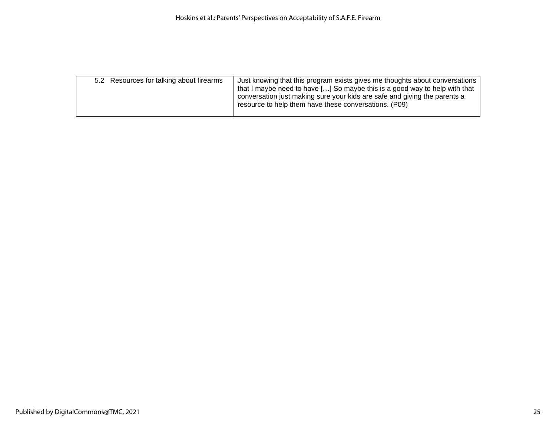| 5.2 Resources for talking about firearms | Just knowing that this program exists gives me thoughts about conversations<br>that I maybe need to have [] So maybe this is a good way to help with that<br>conversation just making sure your kids are safe and giving the parents a<br>resource to help them have these conversations. (P09) |
|------------------------------------------|-------------------------------------------------------------------------------------------------------------------------------------------------------------------------------------------------------------------------------------------------------------------------------------------------|
|                                          |                                                                                                                                                                                                                                                                                                 |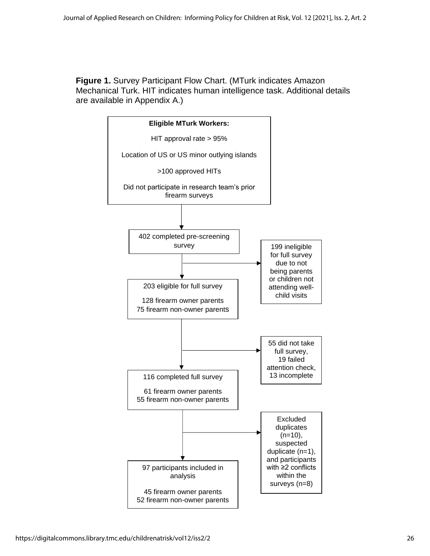**Figure 1.** Survey Participant Flow Chart. (MTurk indicates Amazon Mechanical Turk. HIT indicates human intelligence task. Additional details are available in Appendix A.)

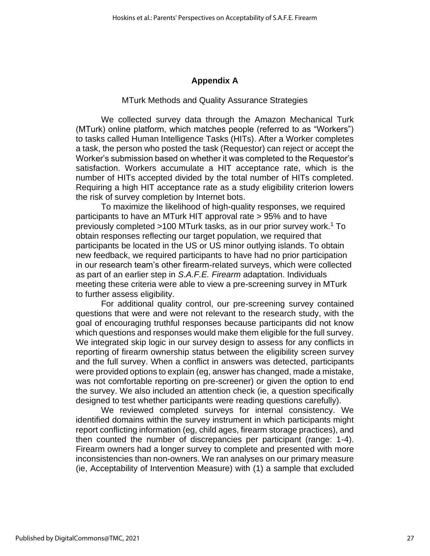# **Appendix A**

#### MTurk Methods and Quality Assurance Strategies

We collected survey data through the Amazon Mechanical Turk (MTurk) online platform, which matches people (referred to as "Workers") to tasks called Human Intelligence Tasks (HITs). After a Worker completes a task, the person who posted the task (Requestor) can reject or accept the Worker's submission based on whether it was completed to the Requestor's satisfaction. Workers accumulate a HIT acceptance rate, which is the number of HITs accepted divided by the total number of HITs completed. Requiring a high HIT acceptance rate as a study eligibility criterion lowers the risk of survey completion by Internet bots.

To maximize the likelihood of high-quality responses, we required participants to have an MTurk HIT approval rate > 95% and to have previously completed >100 MTurk tasks, as in our prior survey work.<sup>1</sup> To obtain responses reflecting our target population, we required that participants be located in the US or US minor outlying islands. To obtain new feedback, we required participants to have had no prior participation in our research team's other firearm-related surveys, which were collected as part of an earlier step in *S.A.F.E. Firearm* adaptation. Individuals meeting these criteria were able to view a pre-screening survey in MTurk to further assess eligibility.

For additional quality control, our pre-screening survey contained questions that were and were not relevant to the research study, with the goal of encouraging truthful responses because participants did not know which questions and responses would make them eligible for the full survey. We integrated skip logic in our survey design to assess for any conflicts in reporting of firearm ownership status between the eligibility screen survey and the full survey. When a conflict in answers was detected, participants were provided options to explain (eg, answer has changed, made a mistake, was not comfortable reporting on pre-screener) or given the option to end the survey. We also included an attention check (ie, a question specifically designed to test whether participants were reading questions carefully).

We reviewed completed surveys for internal consistency. We identified domains within the survey instrument in which participants might report conflicting information (eg, child ages, firearm storage practices), and then counted the number of discrepancies per participant (range: 1-4). Firearm owners had a longer survey to complete and presented with more inconsistencies than non-owners. We ran analyses on our primary measure (ie, Acceptability of Intervention Measure) with (1) a sample that excluded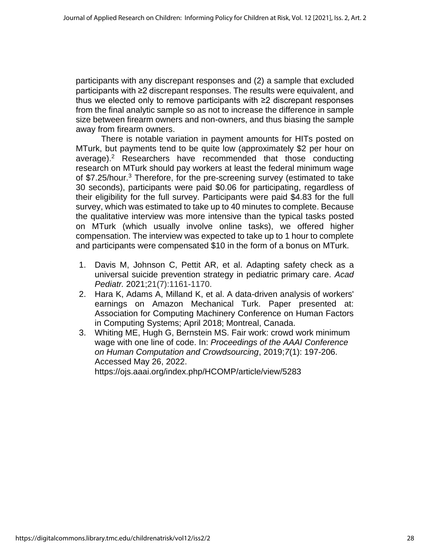participants with any discrepant responses and (2) a sample that excluded participants with ≥2 discrepant responses. The results were equivalent, and thus we elected only to remove participants with ≥2 discrepant responses from the final analytic sample so as not to increase the difference in sample size between firearm owners and non-owners, and thus biasing the sample away from firearm owners.

There is notable variation in payment amounts for HITs posted on MTurk, but payments tend to be quite low (approximately \$2 per hour on average).<sup>2</sup> Researchers have recommended that those conducting research on MTurk should pay workers at least the federal minimum wage of \$7.25/hour.<sup>3</sup> Therefore, for the pre-screening survey (estimated to take 30 seconds), participants were paid \$0.06 for participating, regardless of their eligibility for the full survey. Participants were paid \$4.83 for the full survey, which was estimated to take up to 40 minutes to complete. Because the qualitative interview was more intensive than the typical tasks posted on MTurk (which usually involve online tasks), we offered higher compensation. The interview was expected to take up to 1 hour to complete and participants were compensated \$10 in the form of a bonus on MTurk.

- 1. Davis M, Johnson C, Pettit AR, et al. Adapting safety check as a universal suicide prevention strategy in pediatric primary care. *Acad Pediatr.* 2021;21(7):1161-1170.
- 2. Hara K, Adams A, Milland K, et al. A data-driven analysis of workers' earnings on Amazon Mechanical Turk. Paper presented at: Association for Computing Machinery Conference on Human Factors in Computing Systems; April 2018; Montreal, Canada.
- 3. Whiting ME, Hugh G, Bernstein MS. Fair work: crowd work minimum wage with one line of code. In: *Proceedings of the AAAI Conference on Human Computation and Crowdsourcing*, 2019;*7*(1): 197-206. Accessed May 26, 2022. https://ojs.aaai.org/index.php/HCOMP/article/view/5283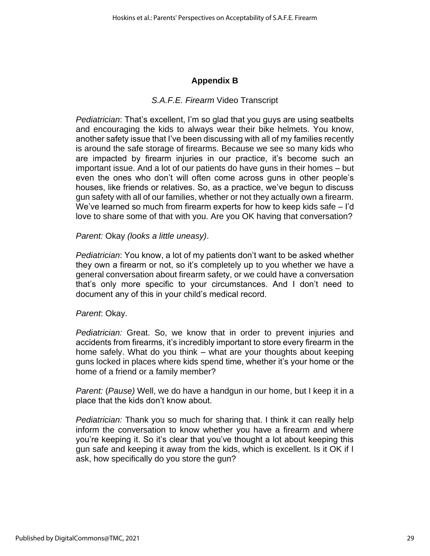# **Appendix B**

# *S.A.F.E. Firearm* Video Transcript

*Pediatrician*: That's excellent, I'm so glad that you guys are using seatbelts and encouraging the kids to always wear their bike helmets. You know, another safety issue that I've been discussing with all of my families recently is around the safe storage of firearms. Because we see so many kids who are impacted by firearm injuries in our practice, it's become such an important issue. And a lot of our patients do have guns in their homes – but even the ones who don't will often come across guns in other people's houses, like friends or relatives. So, as a practice, we've begun to discuss gun safety with all of our families, whether or not they actually own a firearm. We've learned so much from firearm experts for how to keep kids safe – I'd love to share some of that with you. Are you OK having that conversation?

#### *Parent:* Okay *(looks a little uneasy)*.

*Pediatrician*: You know, a lot of my patients don't want to be asked whether they own a firearm or not, so it's completely up to you whether we have a general conversation about firearm safety, or we could have a conversation that's only more specific to your circumstances. And I don't need to document any of this in your child's medical record.

#### *Parent*: Okay.

*Pediatrician:* Great. So, we know that in order to prevent injuries and accidents from firearms, it's incredibly important to store every firearm in the home safely. What do you think – what are your thoughts about keeping guns locked in places where kids spend time, whether it's your home or the home of a friend or a family member?

*Parent:* (*Pause)* Well, we do have a handgun in our home, but I keep it in a place that the kids don't know about.

*Pediatrician:* Thank you so much for sharing that. I think it can really help inform the conversation to know whether you have a firearm and where you're keeping it. So it's clear that you've thought a lot about keeping this gun safe and keeping it away from the kids, which is excellent. Is it OK if I ask, how specifically do you store the gun?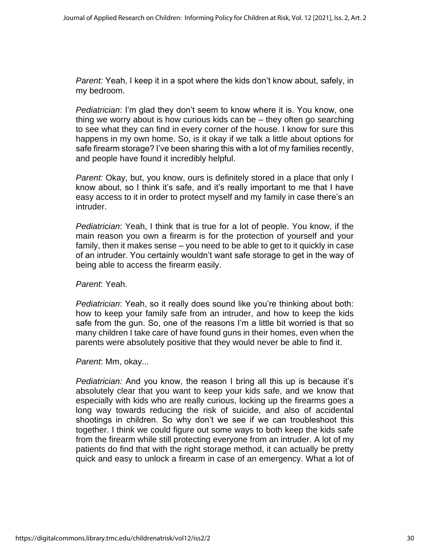*Parent:* Yeah, I keep it in a spot where the kids don't know about, safely, in my bedroom.

*Pediatrician*: I'm glad they don't seem to know where it is. You know, one thing we worry about is how curious kids can be – they often go searching to see what they can find in every corner of the house. I know for sure this happens in my own home. So, is it okay if we talk a little about options for safe firearm storage? I've been sharing this with a lot of my families recently, and people have found it incredibly helpful.

*Parent:* Okay, but, you know, ours is definitely stored in a place that only I know about, so I think it's safe, and it's really important to me that I have easy access to it in order to protect myself and my family in case there's an intruder.

*Pediatrician*: Yeah, I think that is true for a lot of people. You know, if the main reason you own a firearm is for the protection of yourself and your family, then it makes sense – you need to be able to get to it quickly in case of an intruder. You certainly wouldn't want safe storage to get in the way of being able to access the firearm easily.

*Parent*: Yeah.

*Pediatrician*: Yeah, so it really does sound like you're thinking about both: how to keep your family safe from an intruder, and how to keep the kids safe from the gun. So, one of the reasons I'm a little bit worried is that so many children I take care of have found guns in their homes, even when the parents were absolutely positive that they would never be able to find it.

*Parent*: Mm, okay...

*Pediatrician:* And you know, the reason I bring all this up is because it's absolutely clear that you want to keep your kids safe, and we know that especially with kids who are really curious, locking up the firearms goes a long way towards reducing the risk of suicide, and also of accidental shootings in children. So why don't we see if we can troubleshoot this together. I think we could figure out some ways to both keep the kids safe from the firearm while still protecting everyone from an intruder. A lot of my patients do find that with the right storage method, it can actually be pretty quick and easy to unlock a firearm in case of an emergency. What a lot of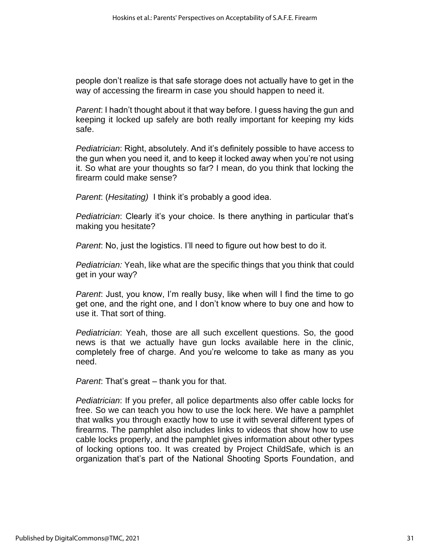people don't realize is that safe storage does not actually have to get in the way of accessing the firearm in case you should happen to need it.

*Parent*: I hadn't thought about it that way before. I guess having the gun and keeping it locked up safely are both really important for keeping my kids safe.

*Pediatrician*: Right, absolutely. And it's definitely possible to have access to the gun when you need it, and to keep it locked away when you're not using it. So what are your thoughts so far? I mean, do you think that locking the firearm could make sense?

*Parent*: (*Hesitating)* I think it's probably a good idea.

*Pediatrician*: Clearly it's your choice. Is there anything in particular that's making you hesitate?

*Parent*: No, just the logistics. I'll need to figure out how best to do it.

*Pediatrician:* Yeah, like what are the specific things that you think that could get in your way?

*Parent*: Just, you know, I'm really busy, like when will I find the time to go get one, and the right one, and I don't know where to buy one and how to use it. That sort of thing.

*Pediatrician*: Yeah, those are all such excellent questions. So, the good news is that we actually have gun locks available here in the clinic, completely free of charge. And you're welcome to take as many as you need.

*Parent*: That's great – thank you for that.

*Pediatrician*: If you prefer, all police departments also offer cable locks for free. So we can teach you how to use the lock here. We have a pamphlet that walks you through exactly how to use it with several different types of firearms. The pamphlet also includes links to videos that show how to use cable locks properly, and the pamphlet gives information about other types of locking options too. It was created by Project ChildSafe, which is an organization that's part of the National Shooting Sports Foundation, and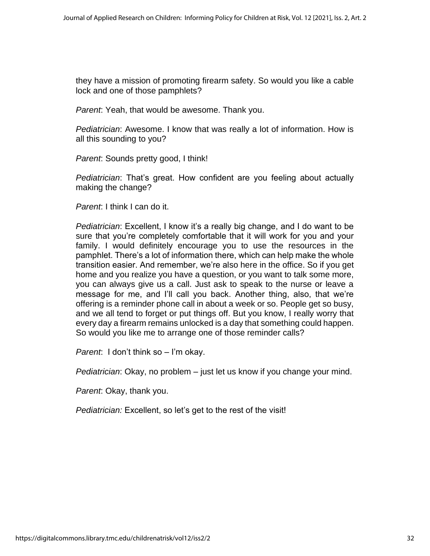they have a mission of promoting firearm safety. So would you like a cable lock and one of those pamphlets?

*Parent*: Yeah, that would be awesome. Thank you.

*Pediatrician*: Awesome. I know that was really a lot of information. How is all this sounding to you?

*Parent*: Sounds pretty good, I think!

*Pediatrician*: That's great. How confident are you feeling about actually making the change?

*Parent*: I think I can do it.

*Pediatrician*: Excellent, I know it's a really big change, and I do want to be sure that you're completely comfortable that it will work for you and your family. I would definitely encourage you to use the resources in the pamphlet. There's a lot of information there, which can help make the whole transition easier. And remember, we're also here in the office. So if you get home and you realize you have a question, or you want to talk some more, you can always give us a call. Just ask to speak to the nurse or leave a message for me, and I'll call you back. Another thing, also, that we're offering is a reminder phone call in about a week or so. People get so busy, and we all tend to forget or put things off. But you know, I really worry that every day a firearm remains unlocked is a day that something could happen. So would you like me to arrange one of those reminder calls?

*Parent*: I don't think so – I'm okay.

*Pediatrician*: Okay, no problem – just let us know if you change your mind.

*Parent*: Okay, thank you.

*Pediatrician:* Excellent, so let's get to the rest of the visit!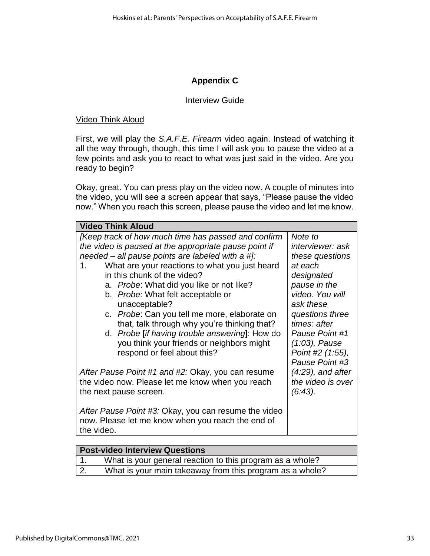# **Appendix C**

#### Interview Guide

#### Video Think Aloud

First, we will play the *S.A.F.E. Firearm* video again. Instead of watching it all the way through, though, this time I will ask you to pause the video at a few points and ask you to react to what was just said in the video. Are you ready to begin?

Okay, great. You can press play on the video now. A couple of minutes into the video, you will see a screen appear that says, "Please pause the video now." When you reach this screen, please pause the video and let me know.

| <b>Video Think Aloud</b>                                                  |                 |  |  |  |
|---------------------------------------------------------------------------|-----------------|--|--|--|
| [Keep track of how much time has passed and confirm<br>Note to            |                 |  |  |  |
| the video is paused at the appropriate pause point if<br>interviewer: ask |                 |  |  |  |
| needed – all pause points are labeled with a #]:                          | these questions |  |  |  |
| What are your reactions to what you just heard<br>1.                      | at each         |  |  |  |
| in this chunk of the video?                                               | designated      |  |  |  |
| a. Probe: What did you like or not like?                                  | pause in the    |  |  |  |
| b. Probe: What felt acceptable or                                         | video. You will |  |  |  |
| unacceptable?                                                             | ask these       |  |  |  |
| c. Probe: Can you tell me more, elaborate on                              | questions three |  |  |  |
| that, talk through why you're thinking that?                              | times: after    |  |  |  |
| d. Probe [if having trouble answering]: How do                            | Pause Point #1  |  |  |  |
| you think your friends or neighbors might                                 | (1:03), Pause   |  |  |  |
| respond or feel about this?<br>Point #2 (1:55),                           |                 |  |  |  |
|                                                                           | Pause Point #3  |  |  |  |
| (4:29), and after<br>After Pause Point #1 and #2: Okay, you can resume    |                 |  |  |  |
| the video now. Please let me know when you reach<br>the video is over     |                 |  |  |  |
| (6:43).<br>the next pause screen.                                         |                 |  |  |  |
| After Pause Point #3: Okay, you can resume the video                      |                 |  |  |  |
| now. Please let me know when you reach the end of                         |                 |  |  |  |
| the video.                                                                |                 |  |  |  |
|                                                                           |                 |  |  |  |

| <b>Post-video Interview Questions</b>                     |
|-----------------------------------------------------------|
| What is your general reaction to this program as a whole? |
| What is your main takeaway from this program as a whole?  |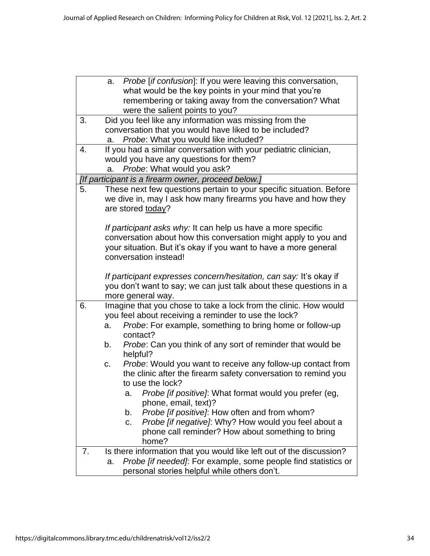|                  | Probe [if confusion]: If you were leaving this conversation,<br>a.                                                                       |
|------------------|------------------------------------------------------------------------------------------------------------------------------------------|
|                  | what would be the key points in your mind that you're<br>remembering or taking away from the conversation? What                          |
|                  | were the salient points to you?                                                                                                          |
| 3.               | Did you feel like any information was missing from the                                                                                   |
|                  | conversation that you would have liked to be included?                                                                                   |
|                  | Probe: What you would like included?<br>a.                                                                                               |
| $\overline{4}$ . | If you had a similar conversation with your pediatric clinician,                                                                         |
|                  | would you have any questions for them?<br>Probe: What would you ask?<br>a.                                                               |
|                  | [If participant is a firearm owner, proceed below.]                                                                                      |
| 5.               | These next few questions pertain to your specific situation. Before                                                                      |
|                  | we dive in, may I ask how many firearms you have and how they                                                                            |
|                  | are stored today?                                                                                                                        |
|                  | If participant asks why: It can help us have a more specific                                                                             |
|                  | conversation about how this conversation might apply to you and                                                                          |
|                  | your situation. But it's okay if you want to have a more general                                                                         |
|                  | conversation instead!                                                                                                                    |
|                  |                                                                                                                                          |
|                  | If participant expresses concern/hesitation, can say: It's okay if<br>you don't want to say; we can just talk about these questions in a |
|                  | more general way.                                                                                                                        |
| 6.               | Imagine that you chose to take a lock from the clinic. How would                                                                         |
|                  | you feel about receiving a reminder to use the lock?                                                                                     |
|                  | Probe: For example, something to bring home or follow-up<br>a.                                                                           |
|                  | contact?                                                                                                                                 |
|                  | Probe: Can you think of any sort of reminder that would be<br>b.<br>helpful?                                                             |
|                  | Probe: Would you want to receive any follow-up contact from<br>C.                                                                        |
|                  | the clinic after the firearm safety conversation to remind you                                                                           |
|                  | to use the lock?                                                                                                                         |
|                  | Probe [if positive]: What format would you prefer (eg,<br>а.                                                                             |
|                  | phone, email, text)?                                                                                                                     |
|                  | Probe [if positive]: How often and from whom?<br>b.                                                                                      |
|                  | Probe [if negative]: Why? How would you feel about a<br>C.                                                                               |
|                  | phone call reminder? How about something to bring<br>home?                                                                               |
| 7.               | Is there information that you would like left out of the discussion?                                                                     |
|                  | Probe [if needed]: For example, some people find statistics or<br>a.                                                                     |
|                  | personal stories helpful while others don't.                                                                                             |